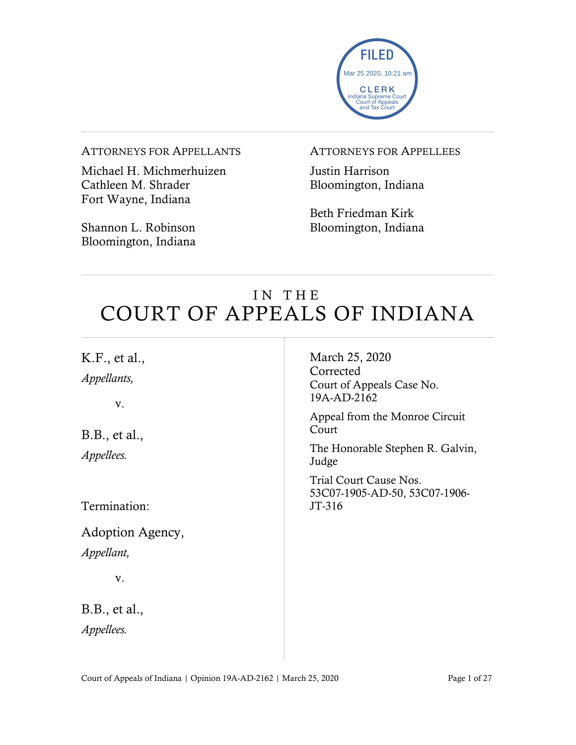

#### ATTORNEYS FOR APPELLANTS

Michael H. Michmerhuizen Cathleen M. Shrader Fort Wayne, Indiana

Shannon L. Robinson Bloomington, Indiana

### ATTORNEYS FOR APPELLEES

Justin Harrison Bloomington, Indiana

Beth Friedman Kirk Bloomington, Indiana

# IN THE COURT OF APPEALS OF INDIANA

| K.F., et al.,<br>Appellants,<br>V. | March 25, 2020<br>Corrected<br>Court of Appeals Case No.<br>19A-AD-2162 |
|------------------------------------|-------------------------------------------------------------------------|
| B.B., et al.,                      | Appeal from the Monroe Circuit<br>Court                                 |
| <i>Appellees.</i>                  | The Honorable Stephen R. Galvin,<br>Judge                               |
| Termination:                       | Trial Court Cause Nos.<br>53C07-1905-AD-50, 53C07-1906-<br>JT-316       |
| Adoption Agency,                   |                                                                         |
| Appellant,                         |                                                                         |
| V.                                 |                                                                         |
| B.B., et al.,<br><i>Appellees.</i> |                                                                         |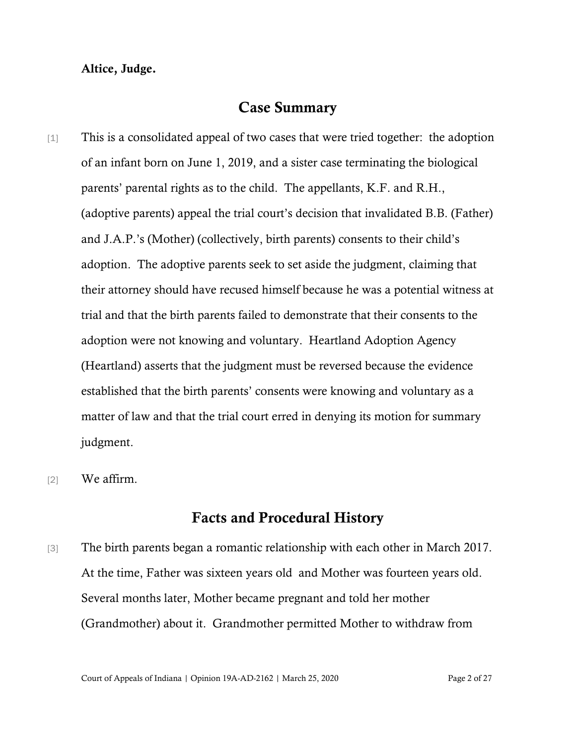## Altice, Judge.

## Case Summary

- [1] This is a consolidated appeal of two cases that were tried together: the adoption of an infant born on June 1, 2019, and a sister case terminating the biological parents' parental rights as to the child. The appellants, K.F. and R.H., (adoptive parents) appeal the trial court's decision that invalidated B.B. (Father) and J.A.P.'s (Mother) (collectively, birth parents) consents to their child's adoption. The adoptive parents seek to set aside the judgment, claiming that their attorney should have recused himself because he was a potential witness at trial and that the birth parents failed to demonstrate that their consents to the adoption were not knowing and voluntary. Heartland Adoption Agency (Heartland) asserts that the judgment must be reversed because the evidence established that the birth parents' consents were knowing and voluntary as a matter of law and that the trial court erred in denying its motion for summary judgment.
- [2] We affirm.

## Facts and Procedural History

[3] The birth parents began a romantic relationship with each other in March 2017. At the time, Father was sixteen years old and Mother was fourteen years old. Several months later, Mother became pregnant and told her mother (Grandmother) about it. Grandmother permitted Mother to withdraw from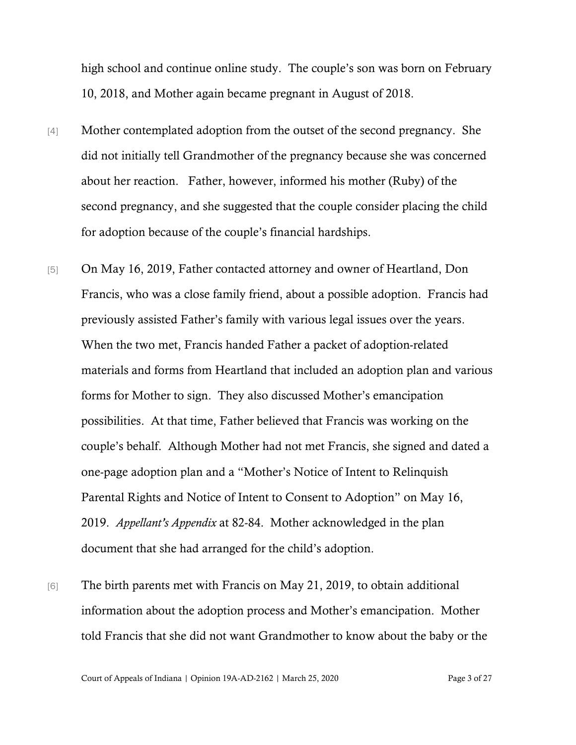high school and continue online study. The couple's son was born on February 10, 2018, and Mother again became pregnant in August of 2018.

- [4] Mother contemplated adoption from the outset of the second pregnancy. She did not initially tell Grandmother of the pregnancy because she was concerned about her reaction. Father, however, informed his mother (Ruby) of the second pregnancy, and she suggested that the couple consider placing the child for adoption because of the couple's financial hardships.
- [5] On May 16, 2019, Father contacted attorney and owner of Heartland, Don Francis, who was a close family friend, about a possible adoption. Francis had previously assisted Father's family with various legal issues over the years. When the two met, Francis handed Father a packet of adoption-related materials and forms from Heartland that included an adoption plan and various forms for Mother to sign. They also discussed Mother's emancipation possibilities. At that time, Father believed that Francis was working on the couple's behalf. Although Mother had not met Francis, she signed and dated a one-page adoption plan and a "Mother's Notice of Intent to Relinquish Parental Rights and Notice of Intent to Consent to Adoption" on May 16, 2019. *Appellant's Appendix* at 82-84. Mother acknowledged in the plan document that she had arranged for the child's adoption.
- [6] The birth parents met with Francis on May 21, 2019, to obtain additional information about the adoption process and Mother's emancipation. Mother told Francis that she did not want Grandmother to know about the baby or the

Court of Appeals of Indiana | Opinion 19A-AD-2162 | March 25, 2020 Page 3 of 27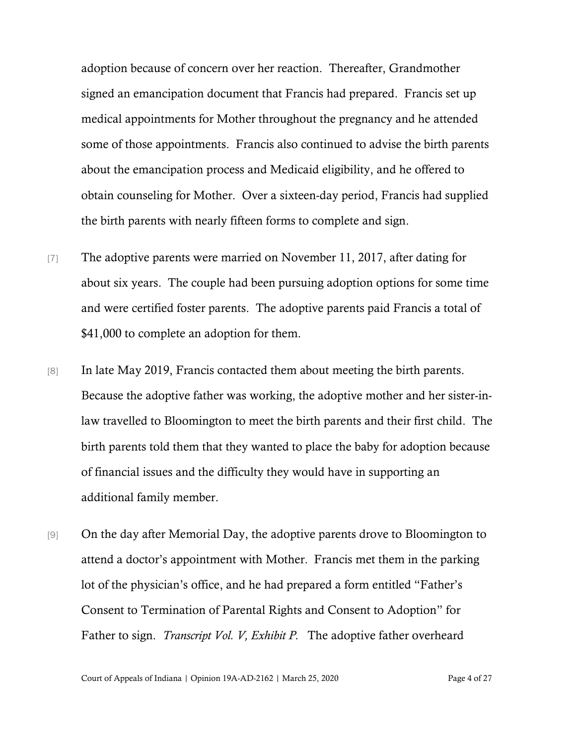adoption because of concern over her reaction. Thereafter, Grandmother signed an emancipation document that Francis had prepared. Francis set up medical appointments for Mother throughout the pregnancy and he attended some of those appointments. Francis also continued to advise the birth parents about the emancipation process and Medicaid eligibility, and he offered to obtain counseling for Mother. Over a sixteen-day period, Francis had supplied the birth parents with nearly fifteen forms to complete and sign.

- [7] The adoptive parents were married on November 11, 2017, after dating for about six years. The couple had been pursuing adoption options for some time and were certified foster parents. The adoptive parents paid Francis a total of \$41,000 to complete an adoption for them.
- [8] In late May 2019, Francis contacted them about meeting the birth parents. Because the adoptive father was working, the adoptive mother and her sister-inlaw travelled to Bloomington to meet the birth parents and their first child. The birth parents told them that they wanted to place the baby for adoption because of financial issues and the difficulty they would have in supporting an additional family member.
- [9] On the day after Memorial Day, the adoptive parents drove to Bloomington to attend a doctor's appointment with Mother. Francis met them in the parking lot of the physician's office, and he had prepared a form entitled "Father's Consent to Termination of Parental Rights and Consent to Adoption" for Father to sign. *Transcript Vol. V, Exhibit P.* The adoptive father overheard

Court of Appeals of Indiana | Opinion 19A-AD-2162 | March 25, 2020 Page 4 of 27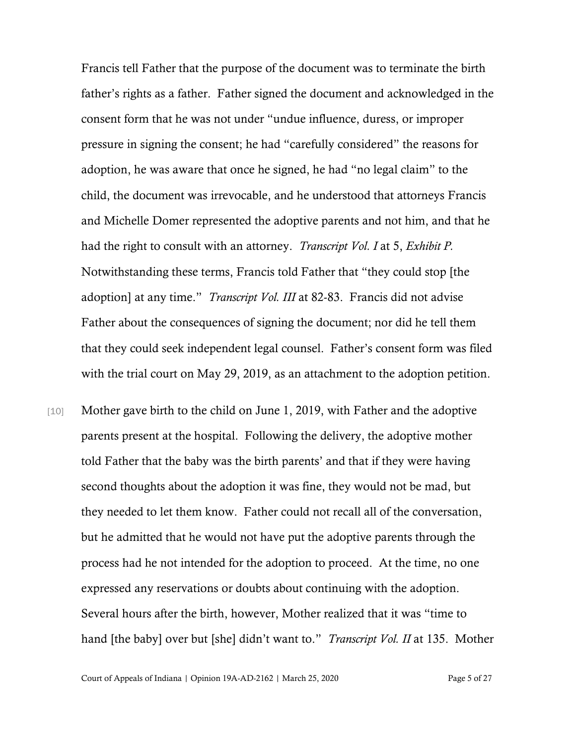Francis tell Father that the purpose of the document was to terminate the birth father's rights as a father. Father signed the document and acknowledged in the consent form that he was not under "undue influence, duress, or improper pressure in signing the consent; he had "carefully considered" the reasons for adoption, he was aware that once he signed, he had "no legal claim" to the child, the document was irrevocable, and he understood that attorneys Francis and Michelle Domer represented the adoptive parents and not him, and that he had the right to consult with an attorney. *Transcript Vol. I* at 5, *Exhibit P.*  Notwithstanding these terms, Francis told Father that "they could stop [the adoption] at any time." *Transcript Vol. III* at 82-83. Francis did not advise Father about the consequences of signing the document; nor did he tell them that they could seek independent legal counsel. Father's consent form was filed with the trial court on May 29, 2019, as an attachment to the adoption petition.

[10] Mother gave birth to the child on June 1, 2019, with Father and the adoptive parents present at the hospital. Following the delivery, the adoptive mother told Father that the baby was the birth parents' and that if they were having second thoughts about the adoption it was fine, they would not be mad, but they needed to let them know. Father could not recall all of the conversation, but he admitted that he would not have put the adoptive parents through the process had he not intended for the adoption to proceed. At the time, no one expressed any reservations or doubts about continuing with the adoption. Several hours after the birth, however, Mother realized that it was "time to hand [the baby] over but [she] didn't want to." *Transcript Vol. II* at 135. Mother

Court of Appeals of Indiana | Opinion 19A-AD-2162 | March 25, 2020 Page 5 of 27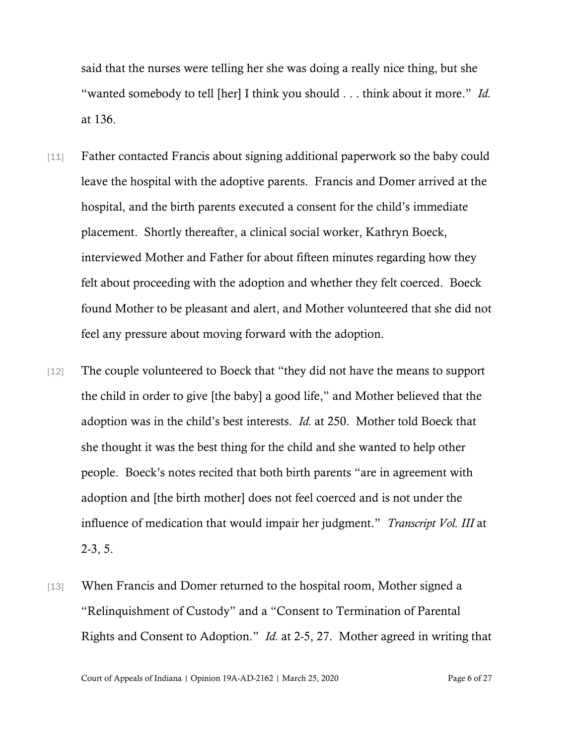said that the nurses were telling her she was doing a really nice thing, but she "wanted somebody to tell [her] I think you should . . . think about it more." *Id.*  at 136.

- [11] Father contacted Francis about signing additional paperwork so the baby could leave the hospital with the adoptive parents. Francis and Domer arrived at the hospital, and the birth parents executed a consent for the child's immediate placement. Shortly thereafter, a clinical social worker, Kathryn Boeck, interviewed Mother and Father for about fifteen minutes regarding how they felt about proceeding with the adoption and whether they felt coerced. Boeck found Mother to be pleasant and alert, and Mother volunteered that she did not feel any pressure about moving forward with the adoption.
- [12] The couple volunteered to Boeck that "they did not have the means to support the child in order to give [the baby] a good life," and Mother believed that the adoption was in the child's best interests. *Id.* at 250. Mother told Boeck that she thought it was the best thing for the child and she wanted to help other people. Boeck's notes recited that both birth parents "are in agreement with adoption and [the birth mother] does not feel coerced and is not under the influence of medication that would impair her judgment." *Transcript Vol. III* at 2-3, 5.
- [13] When Francis and Domer returned to the hospital room, Mother signed a "Relinquishment of Custody" and a "Consent to Termination of Parental Rights and Consent to Adoption." *Id.* at 2-5, 27. Mother agreed in writing that

Court of Appeals of Indiana | Opinion 19A-AD-2162 | March 25, 2020 Page 6 of 27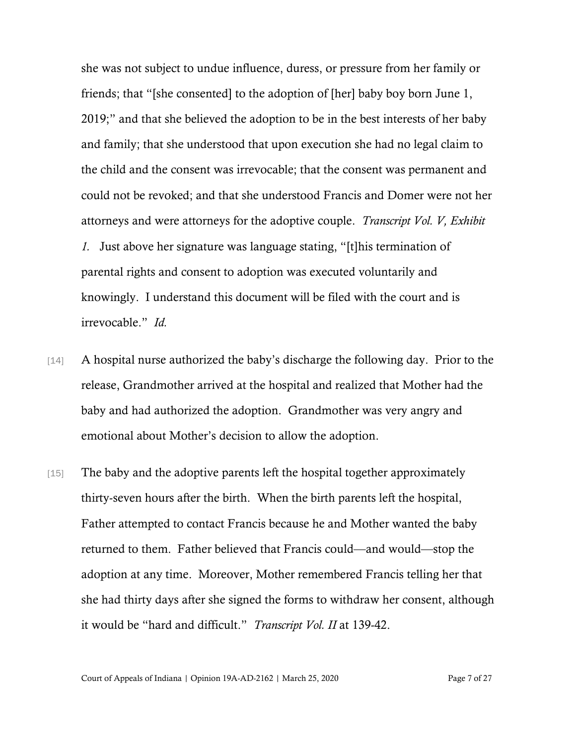she was not subject to undue influence, duress, or pressure from her family or friends; that "[she consented] to the adoption of [her] baby boy born June 1, 2019;" and that she believed the adoption to be in the best interests of her baby and family; that she understood that upon execution she had no legal claim to the child and the consent was irrevocable; that the consent was permanent and could not be revoked; and that she understood Francis and Domer were not her attorneys and were attorneys for the adoptive couple. *Transcript Vol. V, Exhibit 1.* Just above her signature was language stating, "[t]his termination of parental rights and consent to adoption was executed voluntarily and knowingly. I understand this document will be filed with the court and is irrevocable." *Id.*

- [14] A hospital nurse authorized the baby's discharge the following day. Prior to the release, Grandmother arrived at the hospital and realized that Mother had the baby and had authorized the adoption. Grandmother was very angry and emotional about Mother's decision to allow the adoption.
- [15] The baby and the adoptive parents left the hospital together approximately thirty-seven hours after the birth. When the birth parents left the hospital, Father attempted to contact Francis because he and Mother wanted the baby returned to them. Father believed that Francis could—and would—stop the adoption at any time. Moreover, Mother remembered Francis telling her that she had thirty days after she signed the forms to withdraw her consent, although it would be "hard and difficult." *Transcript Vol. II* at 139-42.

Court of Appeals of Indiana | Opinion 19A-AD-2162 | March 25, 2020 Page 7 of 27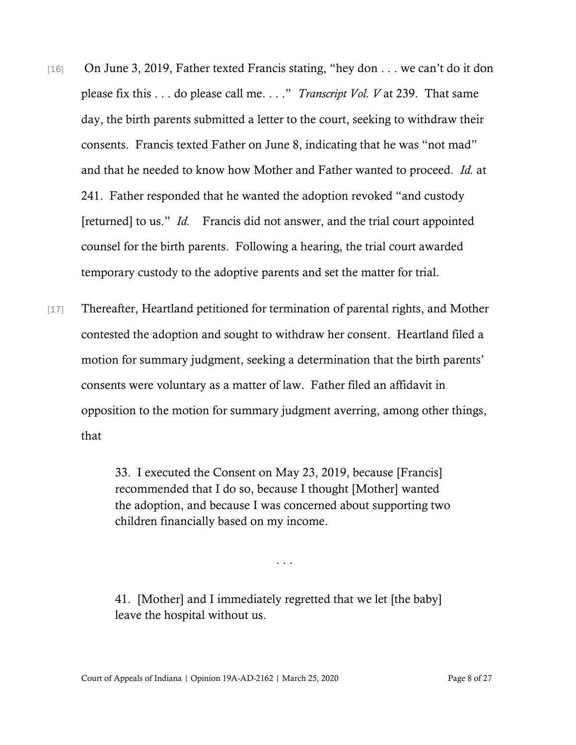- [16] On June 3, 2019, Father texted Francis stating, "hey don . . . we can't do it don please fix this . . . do please call me. . . ." *Transcript Vol. V* at 239. That same day, the birth parents submitted a letter to the court, seeking to withdraw their consents. Francis texted Father on June 8, indicating that he was "not mad" and that he needed to know how Mother and Father wanted to proceed. *Id.* at 241. Father responded that he wanted the adoption revoked "and custody [returned] to us." *Id.* Francis did not answer, and the trial court appointed counsel for the birth parents. Following a hearing, the trial court awarded temporary custody to the adoptive parents and set the matter for trial.
- [17] Thereafter, Heartland petitioned for termination of parental rights, and Mother contested the adoption and sought to withdraw her consent. Heartland filed a motion for summary judgment, seeking a determination that the birth parents' consents were voluntary as a matter of law. Father filed an affidavit in opposition to the motion for summary judgment averring, among other things, that

33. I executed the Consent on May 23, 2019, because [Francis] recommended that I do so, because I thought [Mother] wanted the adoption, and because I was concerned about supporting two children financially based on my income.

. . .

41. [Mother] and I immediately regretted that we let [the baby] leave the hospital without us.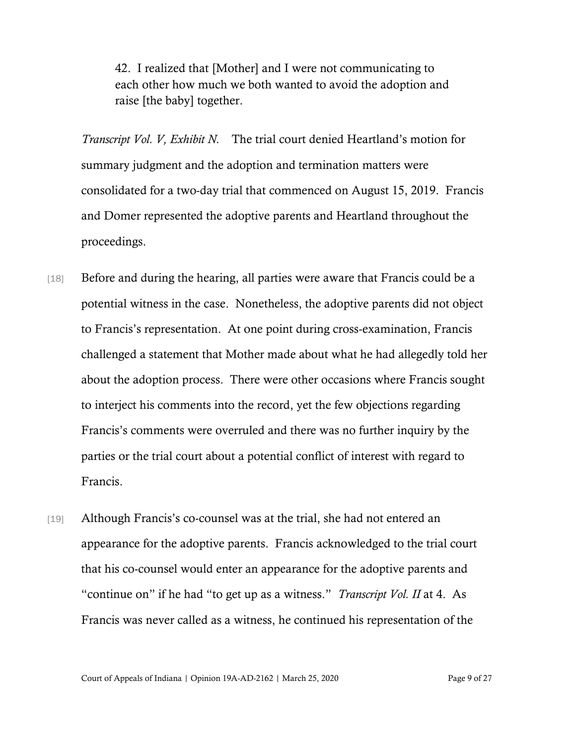42. I realized that [Mother] and I were not communicating to each other how much we both wanted to avoid the adoption and raise [the baby] together.

*Transcript Vol. V, Exhibit N.* The trial court denied Heartland's motion for summary judgment and the adoption and termination matters were consolidated for a two-day trial that commenced on August 15, 2019. Francis and Domer represented the adoptive parents and Heartland throughout the proceedings.

- [18] Before and during the hearing, all parties were aware that Francis could be a potential witness in the case. Nonetheless, the adoptive parents did not object to Francis's representation. At one point during cross-examination, Francis challenged a statement that Mother made about what he had allegedly told her about the adoption process. There were other occasions where Francis sought to interject his comments into the record, yet the few objections regarding Francis's comments were overruled and there was no further inquiry by the parties or the trial court about a potential conflict of interest with regard to Francis.
- [19] Although Francis's co-counsel was at the trial, she had not entered an appearance for the adoptive parents. Francis acknowledged to the trial court that his co-counsel would enter an appearance for the adoptive parents and "continue on" if he had "to get up as a witness." *Transcript Vol. II* at 4. As Francis was never called as a witness, he continued his representation of the

Court of Appeals of Indiana | Opinion 19A-AD-2162 | March 25, 2020 Page 9 of 27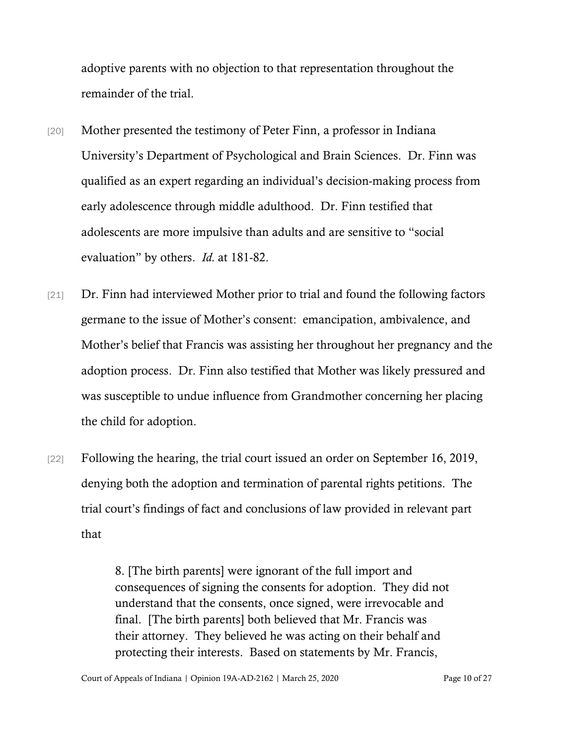adoptive parents with no objection to that representation throughout the remainder of the trial.

- [20] Mother presented the testimony of Peter Finn, a professor in Indiana University's Department of Psychological and Brain Sciences. Dr. Finn was qualified as an expert regarding an individual's decision-making process from early adolescence through middle adulthood. Dr. Finn testified that adolescents are more impulsive than adults and are sensitive to "social evaluation" by others. *Id.* at 181-82.
- [21] Dr. Finn had interviewed Mother prior to trial and found the following factors germane to the issue of Mother's consent: emancipation, ambivalence, and Mother's belief that Francis was assisting her throughout her pregnancy and the adoption process. Dr. Finn also testified that Mother was likely pressured and was susceptible to undue influence from Grandmother concerning her placing the child for adoption.
- [22] Following the hearing, the trial court issued an order on September 16, 2019, denying both the adoption and termination of parental rights petitions. The trial court's findings of fact and conclusions of law provided in relevant part that

8. [The birth parents] were ignorant of the full import and consequences of signing the consents for adoption. They did not understand that the consents, once signed, were irrevocable and final. [The birth parents] both believed that Mr. Francis was their attorney. They believed he was acting on their behalf and protecting their interests. Based on statements by Mr. Francis,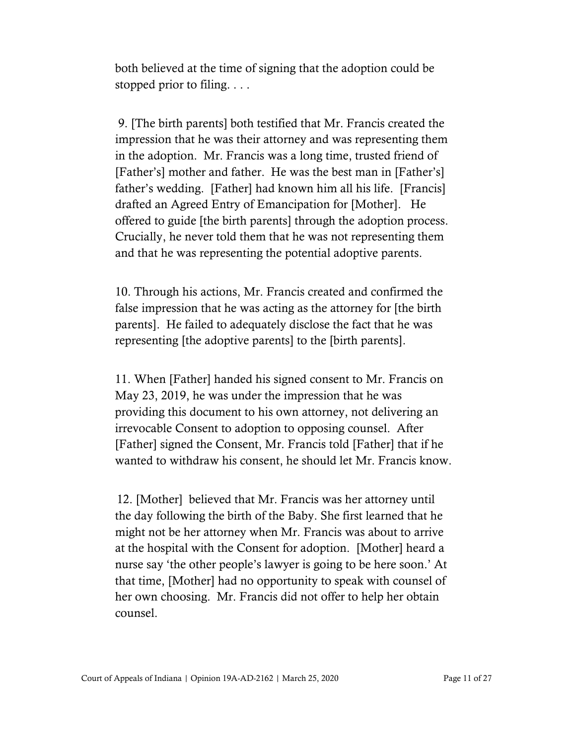both believed at the time of signing that the adoption could be stopped prior to filing. . . .

9. [The birth parents] both testified that Mr. Francis created the impression that he was their attorney and was representing them in the adoption. Mr. Francis was a long time, trusted friend of [Father's] mother and father. He was the best man in [Father's] father's wedding. [Father] had known him all his life. [Francis] drafted an Agreed Entry of Emancipation for [Mother]. He offered to guide [the birth parents] through the adoption process. Crucially, he never told them that he was not representing them and that he was representing the potential adoptive parents.

10. Through his actions, Mr. Francis created and confirmed the false impression that he was acting as the attorney for [the birth parents]. He failed to adequately disclose the fact that he was representing [the adoptive parents] to the [birth parents].

11. When [Father] handed his signed consent to Mr. Francis on May 23, 2019, he was under the impression that he was providing this document to his own attorney, not delivering an irrevocable Consent to adoption to opposing counsel. After [Father] signed the Consent, Mr. Francis told [Father] that if he wanted to withdraw his consent, he should let Mr. Francis know.

12. [Mother] believed that Mr. Francis was her attorney until the day following the birth of the Baby. She first learned that he might not be her attorney when Mr. Francis was about to arrive at the hospital with the Consent for adoption. [Mother] heard a nurse say 'the other people's lawyer is going to be here soon.' At that time, [Mother] had no opportunity to speak with counsel of her own choosing. Mr. Francis did not offer to help her obtain counsel.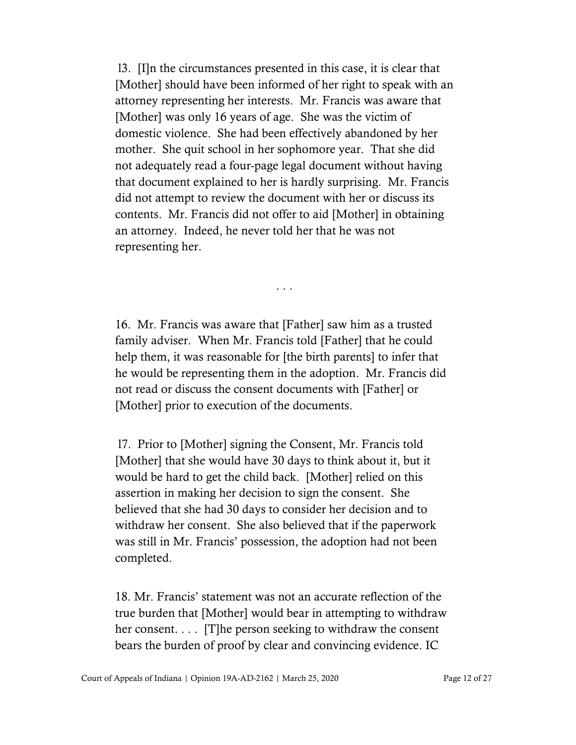l3. [I]n the circumstances presented in this case, it is clear that [Mother] should have been informed of her right to speak with an attorney representing her interests. Mr. Francis was aware that [Mother] was only 16 years of age. She was the victim of domestic violence. She had been effectively abandoned by her mother. She quit school in her sophomore year. That she did not adequately read a four-page legal document without having that document explained to her is hardly surprising. Mr. Francis did not attempt to review the document with her or discuss its contents. Mr. Francis did not offer to aid [Mother] in obtaining an attorney. Indeed, he never told her that he was not representing her.

16. Mr. Francis was aware that [Father] saw him as a trusted family adviser. When Mr. Francis told [Father] that he could help them, it was reasonable for [the birth parents] to infer that he would be representing them in the adoption. Mr. Francis did not read or discuss the consent documents with [Father] or [Mother] prior to execution of the documents.

. . .

l7. Prior to [Mother] signing the Consent, Mr. Francis told [Mother] that she would have 30 days to think about it, but it would be hard to get the child back. [Mother] relied on this assertion in making her decision to sign the consent. She believed that she had 30 days to consider her decision and to withdraw her consent. She also believed that if the paperwork was still in Mr. Francis' possession, the adoption had not been completed.

18. Mr. Francis' statement was not an accurate reflection of the true burden that [Mother] would bear in attempting to withdraw her consent.... [T]he person seeking to withdraw the consent bears the burden of proof by clear and convincing evidence. IC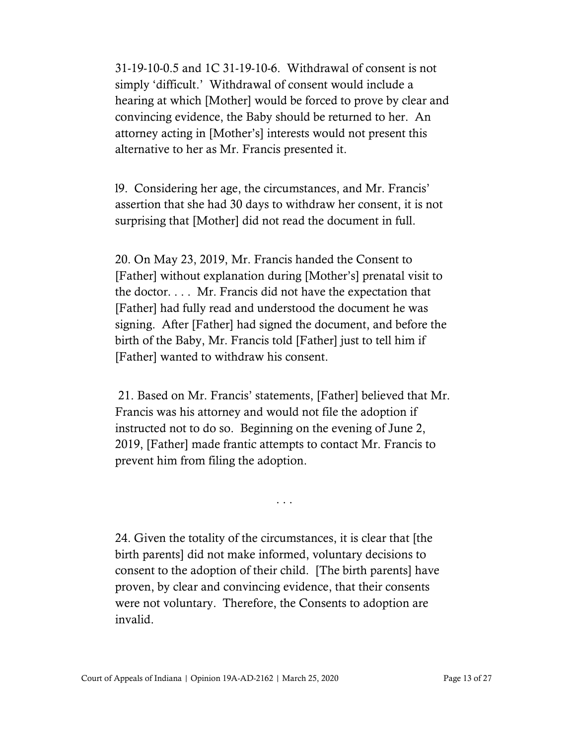31-19-10-0.5 and 1C 31-19-10-6. Withdrawal of consent is not simply 'difficult.' Withdrawal of consent would include a hearing at which [Mother] would be forced to prove by clear and convincing evidence, the Baby should be returned to her. An attorney acting in [Mother's] interests would not present this alternative to her as Mr. Francis presented it.

l9. Considering her age, the circumstances, and Mr. Francis' assertion that she had 30 days to withdraw her consent, it is not surprising that [Mother] did not read the document in full.

20. On May 23, 2019, Mr. Francis handed the Consent to [Father] without explanation during [Mother's] prenatal visit to the doctor. . . . Mr. Francis did not have the expectation that [Father] had fully read and understood the document he was signing. After [Father] had signed the document, and before the birth of the Baby, Mr. Francis told [Father] just to tell him if [Father] wanted to withdraw his consent.

21. Based on Mr. Francis' statements, [Father] believed that Mr. Francis was his attorney and would not file the adoption if instructed not to do so. Beginning on the evening of June 2, 2019, [Father] made frantic attempts to contact Mr. Francis to prevent him from filing the adoption.

. . .

24. Given the totality of the circumstances, it is clear that [the birth parents] did not make informed, voluntary decisions to consent to the adoption of their child. [The birth parents] have proven, by clear and convincing evidence, that their consents were not voluntary. Therefore, the Consents to adoption are invalid.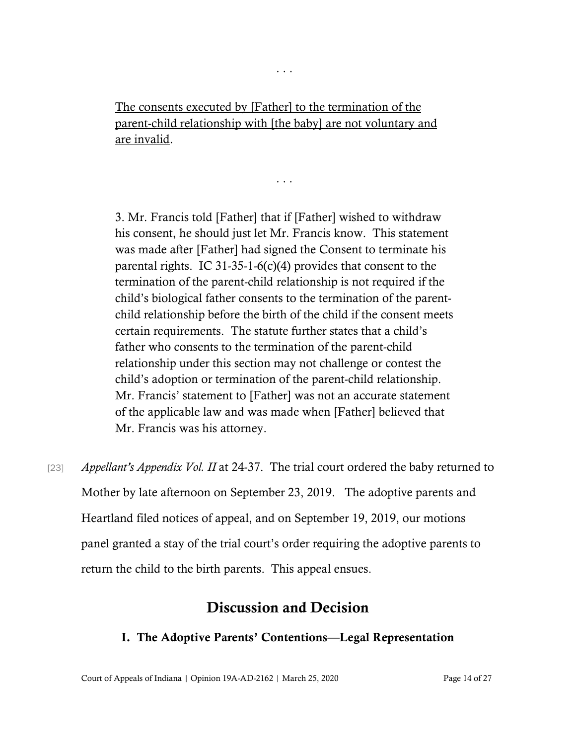The consents executed by [Father] to the termination of the parent-child relationship with [the baby] are not voluntary and are invalid.

. . .

. . .

3. Mr. Francis told [Father] that if [Father] wished to withdraw his consent, he should just let Mr. Francis know. This statement was made after [Father] had signed the Consent to terminate his parental rights. IC 31-35-1-6(c)(4) provides that consent to the termination of the parent-child relationship is not required if the child's biological father consents to the termination of the parentchild relationship before the birth of the child if the consent meets certain requirements. The statute further states that a child's father who consents to the termination of the parent-child relationship under this section may not challenge or contest the child's adoption or termination of the parent-child relationship. Mr. Francis' statement to [Father] was not an accurate statement of the applicable law and was made when [Father] believed that Mr. Francis was his attorney.

[23] *Appellant's Appendix Vol. II* at 24-37. The trial court ordered the baby returned to Mother by late afternoon on September 23, 2019. The adoptive parents and Heartland filed notices of appeal, and on September 19, 2019, our motions panel granted a stay of the trial court's order requiring the adoptive parents to return the child to the birth parents. This appeal ensues.

# Discussion and Decision

## I. The Adoptive Parents' Contentions—Legal Representation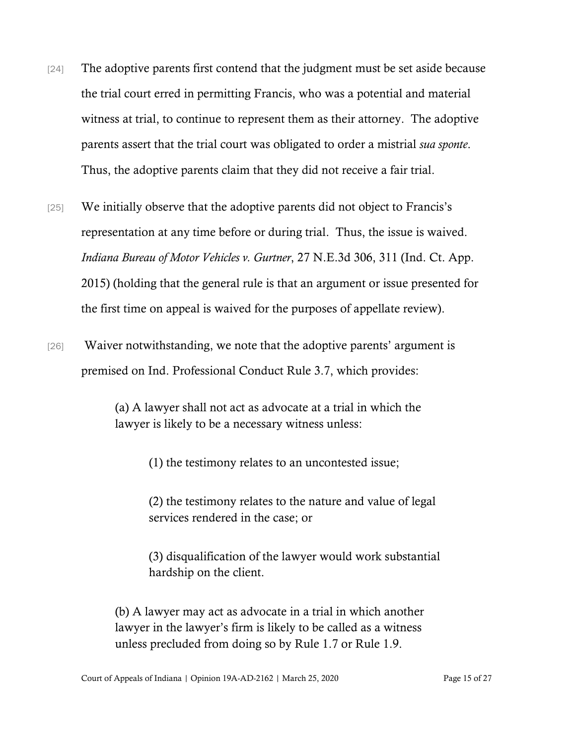- [24] The adoptive parents first contend that the judgment must be set aside because the trial court erred in permitting Francis, who was a potential and material witness at trial, to continue to represent them as their attorney. The adoptive parents assert that the trial court was obligated to order a mistrial *sua sponte*. Thus, the adoptive parents claim that they did not receive a fair trial.
- [25] We initially observe that the adoptive parents did not object to Francis's representation at any time before or during trial. Thus, the issue is waived. *Indiana Bureau of Motor Vehicles v. Gurtner*, 27 N.E.3d 306, 311 (Ind. Ct. App. 2015) (holding that the general rule is that an argument or issue presented for the first time on appeal is waived for the purposes of appellate review).
- [26] Waiver notwithstanding, we note that the adoptive parents' argument is premised on Ind. Professional Conduct Rule 3.7, which provides:

(a) A lawyer shall not act as advocate at a trial in which the lawyer is likely to be a necessary witness unless:

(1) the testimony relates to an uncontested issue;

(2) the testimony relates to the nature and value of legal services rendered in the case; or

(3) disqualification of the lawyer would work substantial hardship on the client.

(b) A lawyer may act as advocate in a trial in which another lawyer in the lawyer's firm is likely to be called as a witness unless precluded from doing so by Rule 1.7 or Rule 1.9.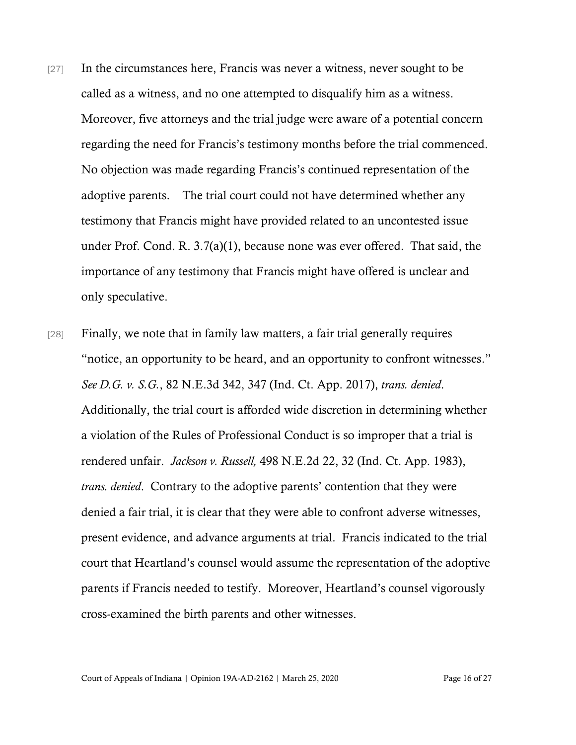- [27] In the circumstances here, Francis was never a witness, never sought to be called as a witness, and no one attempted to disqualify him as a witness. Moreover, five attorneys and the trial judge were aware of a potential concern regarding the need for Francis's testimony months before the trial commenced. No objection was made regarding Francis's continued representation of the adoptive parents. The trial court could not have determined whether any testimony that Francis might have provided related to an uncontested issue under Prof. Cond. R. 3.7(a)(1), because none was ever offered. That said, the importance of any testimony that Francis might have offered is unclear and only speculative.
- [28] Finally, we note that in family law matters, a fair trial generally requires "notice, an opportunity to be heard, and an opportunity to confront witnesses." *See D.G. v. S.G.*, 82 N.E.3d 342, 347 (Ind. Ct. App. 2017), *trans. denied*. Additionally, the trial court is afforded wide discretion in determining whether a violation of the Rules of Professional Conduct is so improper that a trial is rendered unfair. *Jackson v. Russell,* 498 N.E.2d 22, 32 (Ind. Ct. App. 1983), *trans. denied*. Contrary to the adoptive parents' contention that they were denied a fair trial, it is clear that they were able to confront adverse witnesses, present evidence, and advance arguments at trial. Francis indicated to the trial court that Heartland's counsel would assume the representation of the adoptive parents if Francis needed to testify. Moreover, Heartland's counsel vigorously cross-examined the birth parents and other witnesses.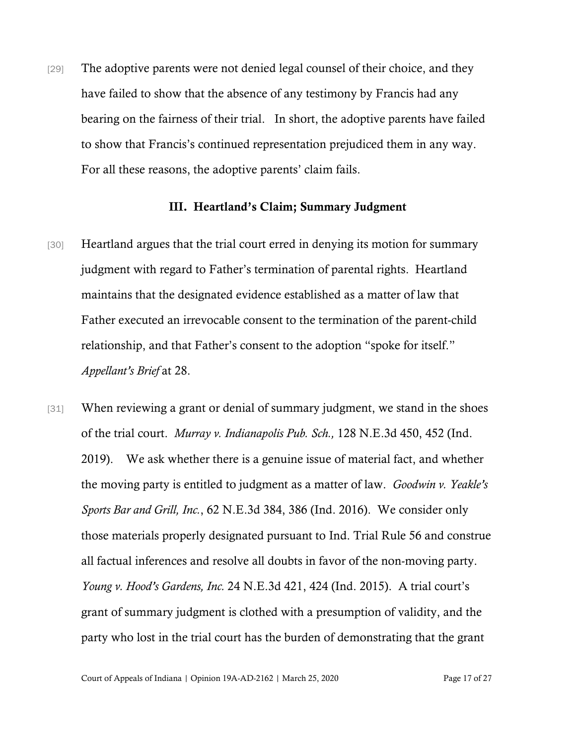[29] The adoptive parents were not denied legal counsel of their choice, and they have failed to show that the absence of any testimony by Francis had any bearing on the fairness of their trial. In short, the adoptive parents have failed to show that Francis's continued representation prejudiced them in any way. For all these reasons, the adoptive parents' claim fails.

#### III. Heartland's Claim; Summary Judgment

- [30] Heartland argues that the trial court erred in denying its motion for summary judgment with regard to Father's termination of parental rights. Heartland maintains that the designated evidence established as a matter of law that Father executed an irrevocable consent to the termination of the parent-child relationship, and that Father's consent to the adoption "spoke for itself." *Appellant's Brief* at 28.
- [31] When reviewing a grant or denial of summary judgment, we stand in the shoes of the trial court. *Murray v. Indianapolis Pub. Sch.,* 128 N.E.3d 450, 452 (Ind. 2019). We ask whether there is a genuine issue of material fact, and whether the moving party is entitled to judgment as a matter of law. *Goodwin v. Yeakle's Sports Bar and Grill, Inc.*, 62 N.E.3d 384, 386 (Ind. 2016). We consider only those materials properly designated pursuant to Ind. Trial Rule 56 and construe all factual inferences and resolve all doubts in favor of the non-moving party. *Young v. Hood's Gardens, Inc.* 24 N.E.3d 421, 424 (Ind. 2015). A trial court's grant of summary judgment is clothed with a presumption of validity, and the party who lost in the trial court has the burden of demonstrating that the grant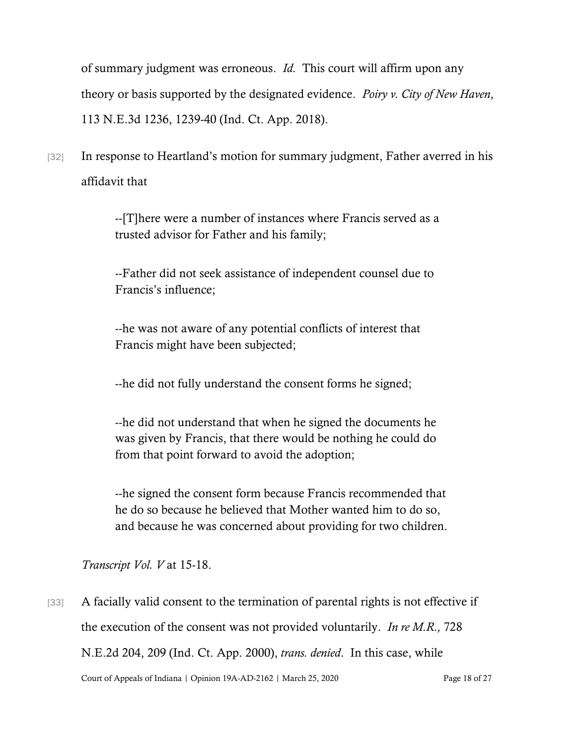of summary judgment was erroneous. *Id.* This court will affirm upon any theory or basis supported by the designated evidence. *Poiry v. City of New Haven*, 113 N.E.3d 1236, 1239-40 (Ind. Ct. App. 2018).

[32] In response to Heartland's motion for summary judgment, Father averred in his affidavit that

> --[T]here were a number of instances where Francis served as a trusted advisor for Father and his family;

--Father did not seek assistance of independent counsel due to Francis's influence;

--he was not aware of any potential conflicts of interest that Francis might have been subjected;

--he did not fully understand the consent forms he signed;

--he did not understand that when he signed the documents he was given by Francis, that there would be nothing he could do from that point forward to avoid the adoption;

--he signed the consent form because Francis recommended that he do so because he believed that Mother wanted him to do so, and because he was concerned about providing for two children.

*Transcript Vol. V* at 15-18.

Court of Appeals of Indiana | Opinion 19A-AD-2162 | March 25, 2020 Page 18 of 27 [33] A facially valid consent to the termination of parental rights is not effective if the execution of the consent was not provided voluntarily. *In re M.R.,* 728 N.E.2d 204, 209 (Ind. Ct. App. 2000), *trans. denied*. In this case, while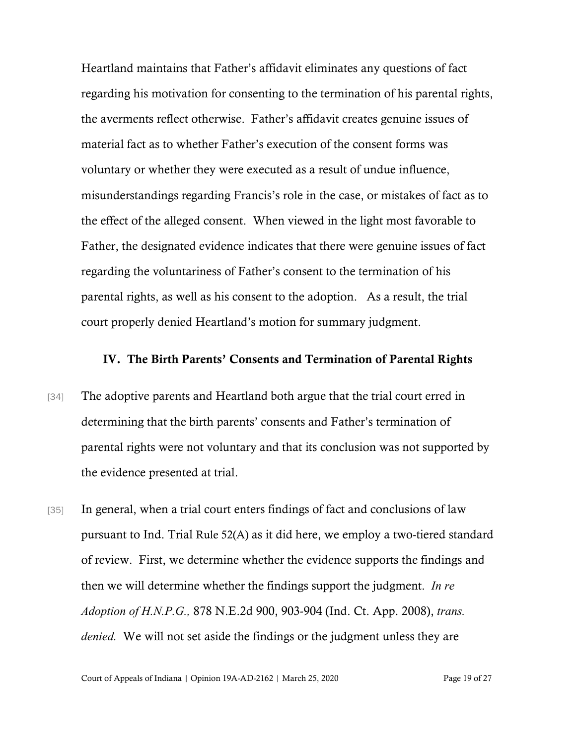Heartland maintains that Father's affidavit eliminates any questions of fact regarding his motivation for consenting to the termination of his parental rights, the averments reflect otherwise. Father's affidavit creates genuine issues of material fact as to whether Father's execution of the consent forms was voluntary or whether they were executed as a result of undue influence, misunderstandings regarding Francis's role in the case, or mistakes of fact as to the effect of the alleged consent. When viewed in the light most favorable to Father, the designated evidence indicates that there were genuine issues of fact regarding the voluntariness of Father's consent to the termination of his parental rights, as well as his consent to the adoption. As a result, the trial court properly denied Heartland's motion for summary judgment.

#### IV. The Birth Parents' Consents and Termination of Parental Rights

- [34] The adoptive parents and Heartland both argue that the trial court erred in determining that the birth parents' consents and Father's termination of parental rights were not voluntary and that its conclusion was not supported by the evidence presented at trial.
- [35] In general, when a trial court enters findings of fact and conclusions of law pursuant to Ind. Trial Rule 52(A) as it did here, we employ a two-tiered standard of review. First, we determine whether the evidence supports the findings and then we will determine whether the findings support the judgment. *In re Adoption of H.N.P.G.,* 878 N.E.2d 900, 903-904 (Ind. Ct. App. 2008), *trans. denied.* We will not set aside the findings or the judgment unless they are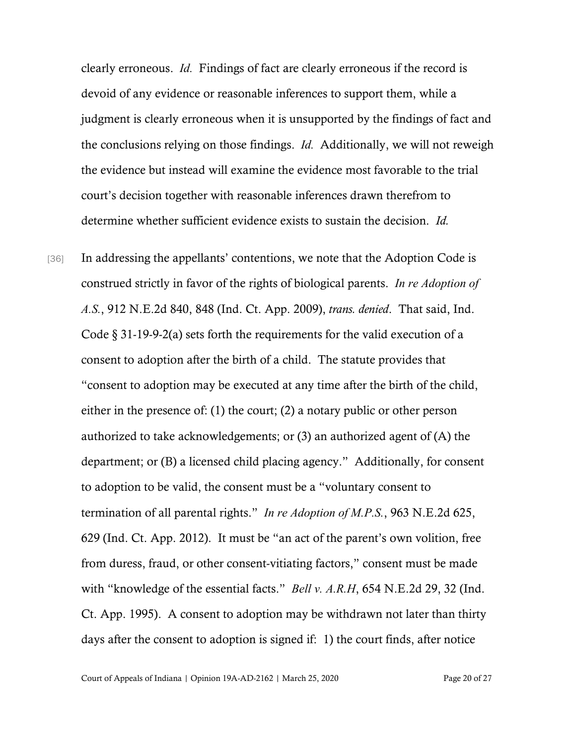clearly erroneous. *Id.* Findings of fact are clearly erroneous if the record is devoid of any evidence or reasonable inferences to support them, while a judgment is clearly erroneous when it is unsupported by the findings of fact and the conclusions relying on those findings. *Id.* Additionally, we will not reweigh the evidence but instead will examine the evidence most favorable to the trial court's decision together with reasonable inferences drawn therefrom to determine whether sufficient evidence exists to sustain the decision. *Id.* 

[36] In addressing the appellants' contentions, we note that the Adoption Code is construed strictly in favor of the rights of biological parents. *In re Adoption of A.S.*, 912 N.E.2d 840, 848 (Ind. Ct. App. 2009), *trans. denied*. That said, Ind. Code § 31-19-9-2(a) sets forth the requirements for the valid execution of a consent to adoption after the birth of a child. The statute provides that "consent to adoption may be executed at any time after the birth of the child, either in the presence of: (1) the court; (2) a notary public or other person authorized to take acknowledgements; or (3) an authorized agent of (A) the department; or (B) a licensed child placing agency." Additionally, for consent to adoption to be valid, the consent must be a "voluntary consent to termination of all parental rights." *In re Adoption of M.P.S.*, 963 N.E.2d 625, 629 (Ind. Ct. App. 2012). It must be "an act of the parent's own volition, free from duress, fraud, or other consent-vitiating factors," consent must be made with "knowledge of the essential facts." *Bell v. A.R.H*, 654 N.E.2d 29, 32 (Ind. Ct. App. 1995). A consent to adoption may be withdrawn not later than thirty days after the consent to adoption is signed if: 1) the court finds, after notice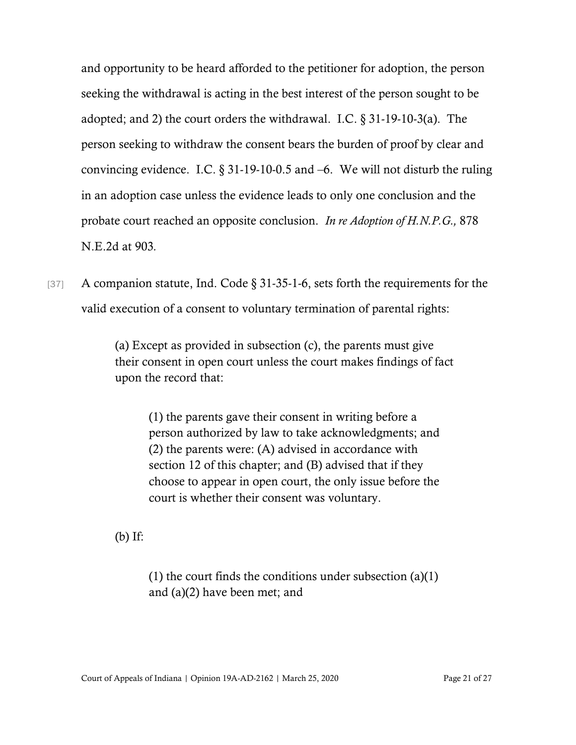and opportunity to be heard afforded to the petitioner for adoption, the person seeking the withdrawal is acting in the best interest of the person sought to be adopted; and 2) the court orders the withdrawal. I.C. § 31-19-10-3(a). The person seeking to withdraw the consent bears the burden of proof by clear and convincing evidence. I.C. § 31-19-10-0.5 and –6. We will not disturb the ruling in an adoption case unless the evidence leads to only one conclusion and the probate court reached an opposite conclusion. *In re Adoption of H.N.P.G.,* 878 N.E.2d at 903*.*

[37] A companion statute, Ind. Code § 31-35-1-6, sets forth the requirements for the valid execution of a consent to voluntary termination of parental rights:

> (a) Except as provided in subsection (c), the parents must give their consent in open court unless the court makes findings of fact upon the record that:

(1) the parents gave their consent in writing before a person authorized by law to take acknowledgments; and (2) the parents were: (A) advised in accordance with section 12 of this chapter; and (B) advised that if they choose to appear in open court, the only issue before the court is whether their consent was voluntary.

(b) If:

(1) the court finds the conditions under subsection (a)(1) and (a)(2) have been met; and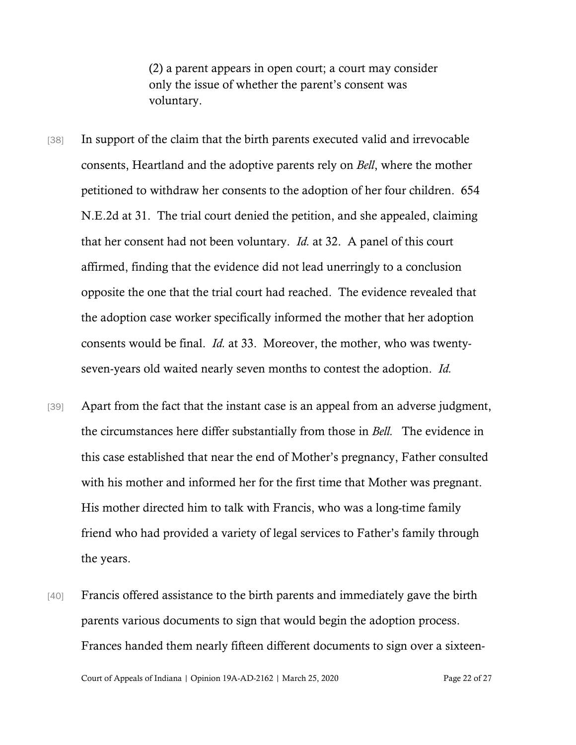(2) a parent appears in open court; a court may consider only the issue of whether the parent's consent was voluntary.

- [38] In support of the claim that the birth parents executed valid and irrevocable consents, Heartland and the adoptive parents rely on *Bell*, where the mother petitioned to withdraw her consents to the adoption of her four children. 654 N.E.2d at 31. The trial court denied the petition, and she appealed, claiming that her consent had not been voluntary. *Id.* at 32. A panel of this court affirmed, finding that the evidence did not lead unerringly to a conclusion opposite the one that the trial court had reached. The evidence revealed that the adoption case worker specifically informed the mother that her adoption consents would be final. *Id.* at 33. Moreover, the mother, who was twentyseven-years old waited nearly seven months to contest the adoption. *Id.*
- [39] Apart from the fact that the instant case is an appeal from an adverse judgment, the circumstances here differ substantially from those in *Bell.* The evidence in this case established that near the end of Mother's pregnancy, Father consulted with his mother and informed her for the first time that Mother was pregnant. His mother directed him to talk with Francis, who was a long-time family friend who had provided a variety of legal services to Father's family through the years.
- [40] Francis offered assistance to the birth parents and immediately gave the birth parents various documents to sign that would begin the adoption process. Frances handed them nearly fifteen different documents to sign over a sixteen-

Court of Appeals of Indiana | Opinion 19A-AD-2162 | March 25, 2020 Page 22 of 27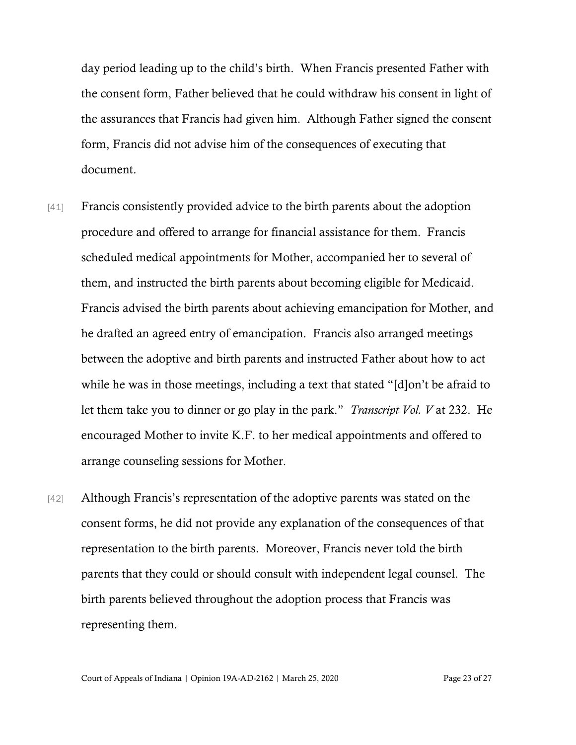day period leading up to the child's birth. When Francis presented Father with the consent form, Father believed that he could withdraw his consent in light of the assurances that Francis had given him. Although Father signed the consent form, Francis did not advise him of the consequences of executing that document.

- [41] Francis consistently provided advice to the birth parents about the adoption procedure and offered to arrange for financial assistance for them. Francis scheduled medical appointments for Mother, accompanied her to several of them, and instructed the birth parents about becoming eligible for Medicaid. Francis advised the birth parents about achieving emancipation for Mother, and he drafted an agreed entry of emancipation. Francis also arranged meetings between the adoptive and birth parents and instructed Father about how to act while he was in those meetings, including a text that stated "[d]on't be afraid to let them take you to dinner or go play in the park." *Transcript Vol. V* at 232. He encouraged Mother to invite K.F. to her medical appointments and offered to arrange counseling sessions for Mother.
- [42] Although Francis's representation of the adoptive parents was stated on the consent forms, he did not provide any explanation of the consequences of that representation to the birth parents. Moreover, Francis never told the birth parents that they could or should consult with independent legal counsel. The birth parents believed throughout the adoption process that Francis was representing them.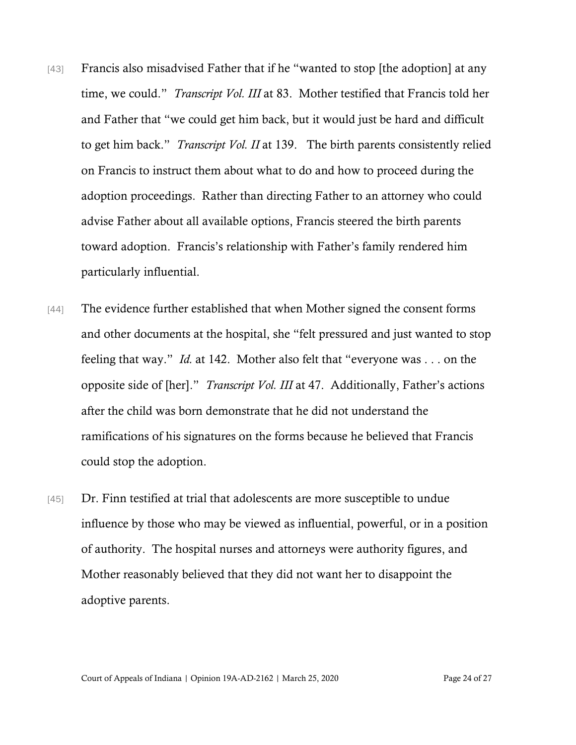- [43] Francis also misadvised Father that if he "wanted to stop [the adoption] at any time, we could." *Transcript Vol. III* at 83. Mother testified that Francis told her and Father that "we could get him back, but it would just be hard and difficult to get him back." *Transcript Vol. II* at 139. The birth parents consistently relied on Francis to instruct them about what to do and how to proceed during the adoption proceedings. Rather than directing Father to an attorney who could advise Father about all available options, Francis steered the birth parents toward adoption. Francis's relationship with Father's family rendered him particularly influential.
- [44] The evidence further established that when Mother signed the consent forms and other documents at the hospital, she "felt pressured and just wanted to stop feeling that way." *Id.* at 142. Mother also felt that "everyone was . . . on the opposite side of [her]." *Transcript Vol. III* at 47. Additionally, Father's actions after the child was born demonstrate that he did not understand the ramifications of his signatures on the forms because he believed that Francis could stop the adoption.
- [45] Dr. Finn testified at trial that adolescents are more susceptible to undue influence by those who may be viewed as influential, powerful, or in a position of authority. The hospital nurses and attorneys were authority figures, and Mother reasonably believed that they did not want her to disappoint the adoptive parents.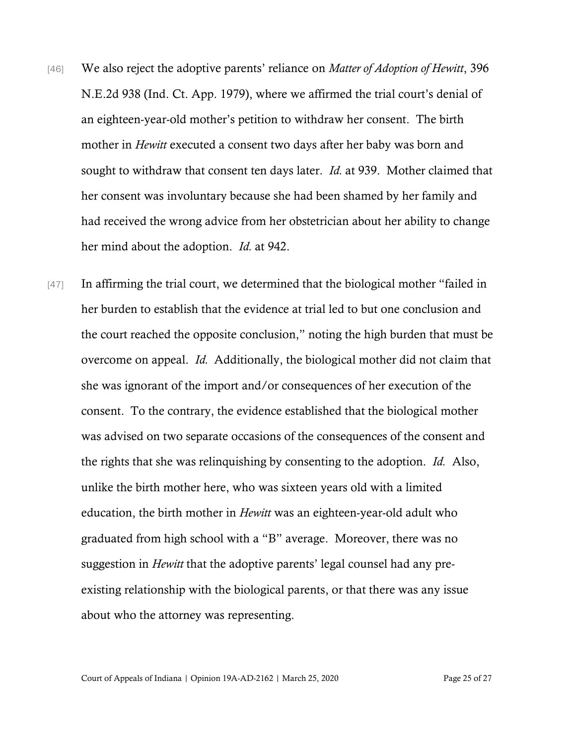- [46] We also reject the adoptive parents' reliance on *Matter of Adoption of Hewitt*, 396 N.E.2d 938 (Ind. Ct. App. 1979), where we affirmed the trial court's denial of an eighteen-year-old mother's petition to withdraw her consent. The birth mother in *Hewitt* executed a consent two days after her baby was born and sought to withdraw that consent ten days later. *Id.* at 939. Mother claimed that her consent was involuntary because she had been shamed by her family and had received the wrong advice from her obstetrician about her ability to change her mind about the adoption. *Id.* at 942.
- [47] In affirming the trial court, we determined that the biological mother "failed in her burden to establish that the evidence at trial led to but one conclusion and the court reached the opposite conclusion," noting the high burden that must be overcome on appeal. *Id.* Additionally, the biological mother did not claim that she was ignorant of the import and/or consequences of her execution of the consent. To the contrary, the evidence established that the biological mother was advised on two separate occasions of the consequences of the consent and the rights that she was relinquishing by consenting to the adoption. *Id.* Also, unlike the birth mother here, who was sixteen years old with a limited education, the birth mother in *Hewitt* was an eighteen-year-old adult who graduated from high school with a "B" average. Moreover, there was no suggestion in *Hewitt* that the adoptive parents' legal counsel had any preexisting relationship with the biological parents, or that there was any issue about who the attorney was representing.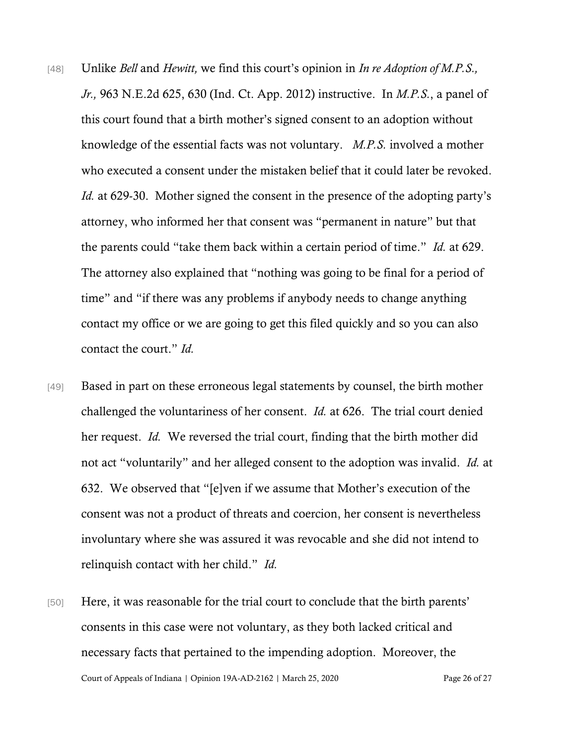- [48] Unlike *Bell* and *Hewitt,* we find this court's opinion in *In re Adoption of M.P.S., Jr.,* 963 N.E.2d 625, 630 (Ind. Ct. App. 2012) instructive. In *M.P.S.*, a panel of this court found that a birth mother's signed consent to an adoption without knowledge of the essential facts was not voluntary. *M.P.S.* involved a mother who executed a consent under the mistaken belief that it could later be revoked. *Id.* at 629-30. Mother signed the consent in the presence of the adopting party's attorney, who informed her that consent was "permanent in nature" but that the parents could "take them back within a certain period of time." *Id.* at 629. The attorney also explained that "nothing was going to be final for a period of time" and "if there was any problems if anybody needs to change anything contact my office or we are going to get this filed quickly and so you can also contact the court." *Id.*
- [49] Based in part on these erroneous legal statements by counsel, the birth mother challenged the voluntariness of her consent. *Id.* at 626. The trial court denied her request. *Id.* We reversed the trial court, finding that the birth mother did not act "voluntarily" and her alleged consent to the adoption was invalid. *Id.* at 632. We observed that "[e]ven if we assume that Mother's execution of the consent was not a product of threats and coercion, her consent is nevertheless involuntary where she was assured it was revocable and she did not intend to relinquish contact with her child." *Id.*
- Court of Appeals of Indiana | Opinion 19A-AD-2162 | March 25, 2020 Page 26 of 27 [50] Here, it was reasonable for the trial court to conclude that the birth parents' consents in this case were not voluntary, as they both lacked critical and necessary facts that pertained to the impending adoption. Moreover, the